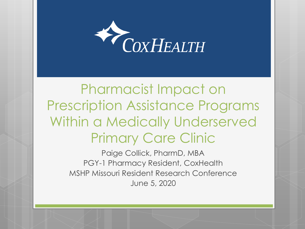

#### Pharmacist Impact on Prescription Assistance Programs Within a Medically Underserved Primary Care Clinic

Paige Collick, PharmD, MBA PGY-1 Pharmacy Resident, CoxHealth MSHP Missouri Resident Research Conference June 5, 2020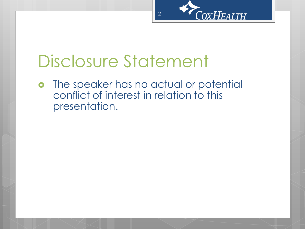

### Disclosure Statement

o The speaker has no actual or potential conflict of interest in relation to this presentation.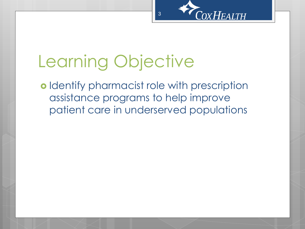

# Learning Objective

o Identify pharmacist role with prescription assistance programs to help improve patient care in underserved populations

3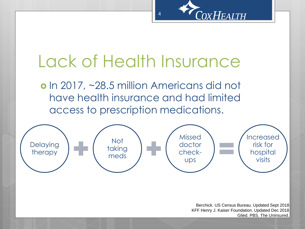

# Lack of Health Insurance

 $\boldsymbol{\Delta}$ 

o In 2017, ~28.5 million Americans did not have health insurance and had limited access to prescription medications.



Berchick. US Census Bureau. Updated Sept 2018 KFF Henry J. Kaiser Foundation. Updated Dec 2018 Glied. PBS. The Uninsured.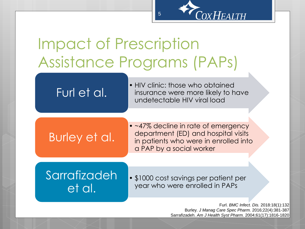

Furl. *BMC Infect. Dis.* 2018:18(1):132 Burley. *J Manag Care Spec Pharm.* 2016;22(4):381-387 Sarrafizadeh. *Am J Health Syst Pharm.* 2004;61(17):1816-1820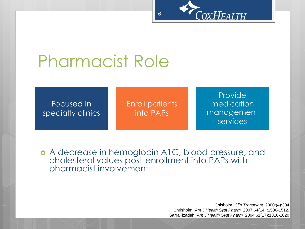

# Pharmacist Role

Focused in specialty clinics Enroll patients into PAPs

6

Provide medication management services

 A decrease in hemoglobin A1C, blood pressure, and cholesterol values post-enrollment into PAPs with pharmacist involvement.

> Chisholm. *Clin Transplant.* 2000:(4):304 Chrisholm. *Am J Health Syst Pharm.* 2007;64(14\_:1506-1512. SarraFizadeh. *Am J Health Syst Pharm.* 2004;61(17):1816-1820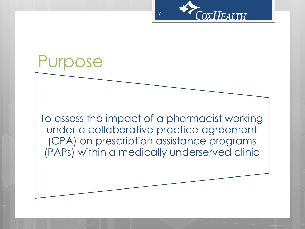

#### Purpose

To assess the impact of a pharmacist working under a collaborative practice agreement (CPA) on prescription assistance programs (PAPs) within a medically underserved clinic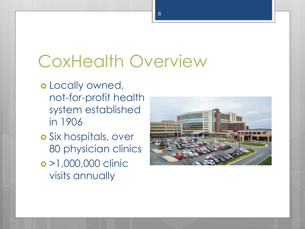# CoxHealth Overview

- o Locally owned, not-for-profit health system established in 1906
- Six hospitals, over 80 physician clinics >1,000,000 clinic visits annually

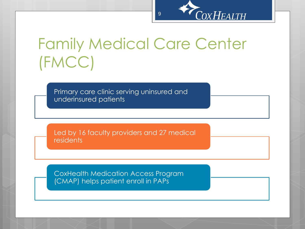

#### Family Medical Care Center (FMCC)

Primary care clinic serving uninsured and underinsured patients

Led by 16 faculty providers and 27 medical residents

CoxHealth Medication Access Program (CMAP) helps patient enroll in PAPs

9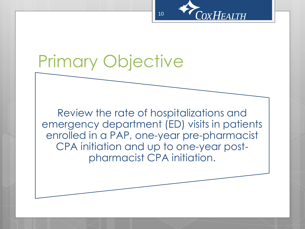

# Primary Objective

Review the rate of hospitalizations and emergency department (ED) visits in patients enrolled in a PAP, one-year pre-pharmacist CPA initiation and up to one-year postpharmacist CPA initiation.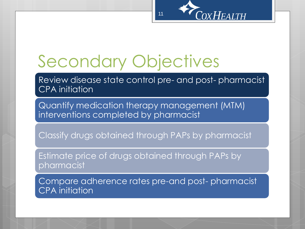

# Secondary Objectives

Review disease state control pre- and post- pharmacist CPA initiation

Quantify medication therapy management (MTM) interventions completed by pharmacist

Classify drugs obtained through PAPs by pharmacist

Estimate price of drugs obtained through PAPs by pharmacist

Compare adherence rates pre-and post- pharmacist CPA initiation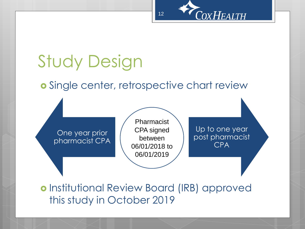

# Study Design

#### **o** Single center, retrospective chart review

One year prior pharmacist CPA

Pharmacist CPA signed between 06/01/2018 to 06/01/2019

Up to one year post pharmacist CPA

o Institutional Review Board (IRB) approved this study in October 2019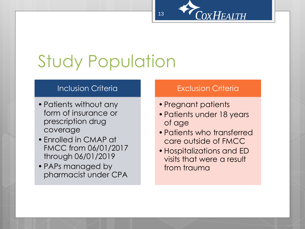

# Study Population

#### **Inclusion Criteria**

- •Patients without any form of insurance or prescription drug coverage
- •Enrolled in CMAP at FMCC from 06/01/2017 through 06/01/2019
- •PAPs managed by pharmacist under CPA

#### Exclusion Criteria

- Pregnant patients
- •Patients under 18 years of age
- •Patients who transferred care outside of FMCC
- •Hospitalizations and ED visits that were a result from trauma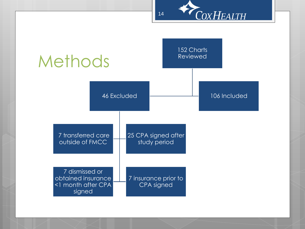



14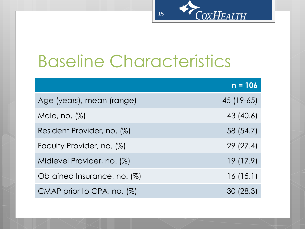#### COXHEALTH 15

# Baseline Characteristics

|                               | $n = 106$  |
|-------------------------------|------------|
| Age (years), mean (range)     | 45 (19-65) |
| Male, no. $(\%)$              | 43 (40.6)  |
| Resident Provider, no. (%)    | 58 (54.7)  |
| Faculty Provider, no. (%)     | 29(27.4)   |
| Midlevel Provider, no. (%)    | 19 (17.9)  |
| Obtained Insurance, no. (%)   | 16(15.1)   |
| CMAP prior to CPA, no. $(\%)$ | 30 (28.3)  |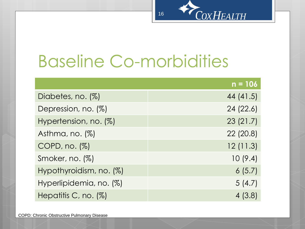

# Baseline Co-morbidities

|                            | $n = 106$ |
|----------------------------|-----------|
| Diabetes, no. (%)          | 44 (41.5) |
| Depression, no. (%)        | 24(22.6)  |
| Hypertension, no. (%)      | 23(21.7)  |
| Asthma, no. $(\%)$         | 22(20.8)  |
| $COPD$ , no. $(\%)$        | 12(11.3)  |
| Smoker, no. (%)            | 10(9.4)   |
| Hypothyroidism, no. $(\%)$ | 6(5.7)    |
| Hyperlipidemia, no. (%)    | 5(4.7)    |
| Hepatitis C, no. $(\%)$    | 4(3.8)    |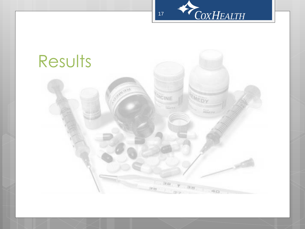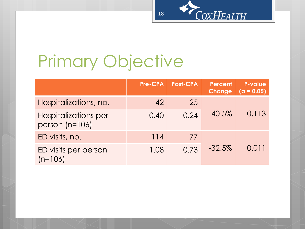

# Primary Objective

|                                          | <b>Pre-CPA</b> | <b>Post-CPA</b> | Percent<br>Change | <b>P-value</b><br>$(a = 0.05)$ |
|------------------------------------------|----------------|-----------------|-------------------|--------------------------------|
| Hospitalizations, no.                    | 42             | 25              |                   |                                |
| Hospitalizations per<br>person $(n=106)$ | 0.40           | 0.24            | $-40.5%$          | 0.113                          |
| ED visits, no.                           | $114$          | 77              |                   |                                |
| ED visits per person<br>$(n=106)$        | 1.08           | 0.73            | $-32.5%$          | 0.011                          |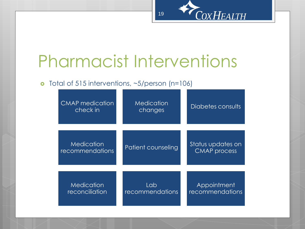

# Pharmacist Interventions

#### o Total of 515 interventions, ~5/person (n=106)

| <b>CMAP</b> medication<br>check in          | Medication<br>changes         | Diabetes consults                        |
|---------------------------------------------|-------------------------------|------------------------------------------|
| <b>Medication</b><br><b>recommendations</b> | Patient counseling            | Status updates on<br><b>CMAP</b> process |
| <b>Medication</b><br>reconciliation         | Lab<br><b>recommendations</b> | Appointment<br>recommendations           |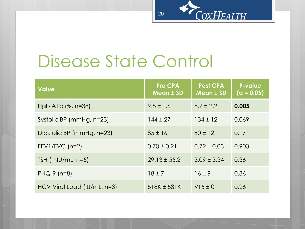

# Disease State Control

| <b>Value</b>                | Pre CPA<br><b>Mean ± SD</b> | <b>Post CPA</b><br><b>Mean ± SD</b> | <b>P-value</b><br>$(a = 0.05)$ |
|-----------------------------|-----------------------------|-------------------------------------|--------------------------------|
| Hgb A1c $(\%$ , n=38)       | $9.8 \pm 1.6$               | $8.7 \pm 2.2$                       | 0.005                          |
| Systolic BP (mmHg, n=23)    | $144 \pm 27$                | $134 \pm 12$                        | 0.069                          |
| Diastolic BP (mmHg, n=23)   | $85 \pm 16$                 | $80 \pm 12$                         | 0.17                           |
| $FEV1/FVC$ (n=2)            | $0.70 \pm 0.21$             | $0.72 \pm 0.03$                     | 0.903                          |
| TSH $(mIU/mL, n=5)$         | $29.13 \pm 55.21$           | $3.09 \pm 3.34$                     | 0.36                           |
| $PHQ-9$ (n=8)               | $18 \pm 7$                  | $16 \pm 9$                          | 0.36                           |
| HCV Viral Load (IU/mL, n=3) | $518K \pm 581K$             | $<$ 15 ± 0                          | 0.26                           |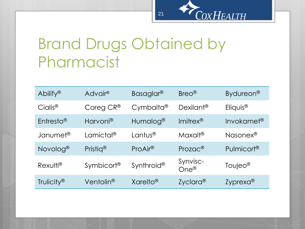# Brand Drugs Obtained by Pharmacist

| Abilify <sup>®</sup>   | Advair <sup>®</sup>    | Basaglar <sup>®</sup>  | Breo <sup>®</sup>             | Bydureon <sup>®</sup>  |
|------------------------|------------------------|------------------------|-------------------------------|------------------------|
| Cialis <sup>®</sup>    | Coreg $CR^{\circledR}$ | Cymbalta <sup>®</sup>  | Dexilant <sup>®</sup>         | Eliquis <sup>®</sup>   |
| Entresto <sup>®</sup>  | Harvoni <sup>®</sup>   | Humalog <sup>®</sup>   | $Imitrex^®$                   | Invokamet <sup>®</sup> |
| Janumet <sup>®</sup>   | Lamictal <sup>®</sup>  | Lantus <sup>®</sup>    | Maxalt®                       | Nasonex <sup>®</sup>   |
| Novolog <sup>®</sup>   | Pristig <sup>®</sup>   | ProAir <sup>®</sup>    | $Prozac^{\circledR}$          | Pulmicort <sup>®</sup> |
| Rexulti <sup>®</sup>   | Symbicort <sup>®</sup> | Synthroid <sup>®</sup> | Synvisc-<br>$One^{\circledR}$ | Toujeo <sup>®</sup>    |
| Trulicity <sup>®</sup> | Ventolin <sup>®</sup>  | Xarelto <sup>®</sup>   | Zyclara <sup>(8)</sup>        | Zyprexa <sup>®</sup>   |

21

COXHEALTH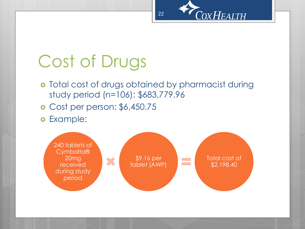

# Cost of Drugs

- **o** Total cost of drugs obtained by pharmacist during study period (n=106): \$683,779.96
- Cost per person: \$6,450.75
- Example:

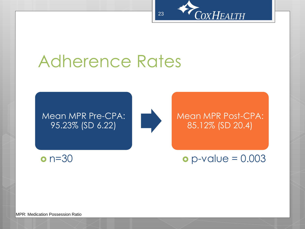

### Adherence Rates

#### Mean MPR Pre-CPA: 95.23% (SD 6.22)



Mean MPR Post-CPA: 85.12% (SD 20.4)

 $o p-value = 0.003$ 

MPR: Medication Possession Ratio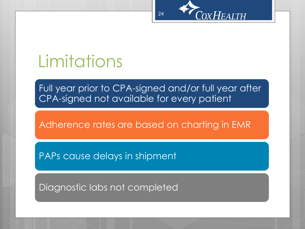

#### Limitations

Full year prior to CPA-signed and/or full year after CPA-signed not available for every patient

Adherence rates are based on charting in EMR

PAPs cause delays in shipment

Diagnostic labs not completed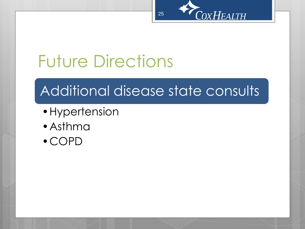

# Future Directions

#### Additional disease state consults

- •Hypertension
- •Asthma
- •COPD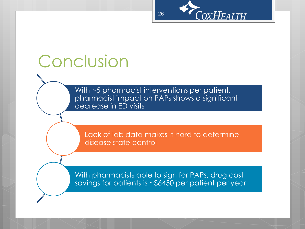

# Conclusion

With ~5 pharmacist interventions per patient, pharmacist impact on PAPs shows a significant decrease in ED visits

Lack of lab data makes it hard to determine disease state control

With pharmacists able to sign for PAPs, drug cost savings for patients is ~\$6450 per patient per year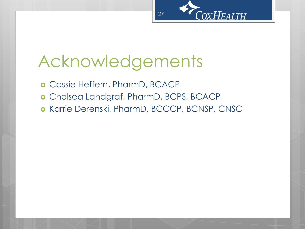

# Acknowledgements

Cassie Heffern, PharmD, BCACP

- Chelsea Landgraf, PharmD, BCPS, BCACP
- o Karrie Derenski, PharmD, BCCCP, BCNSP, CNSC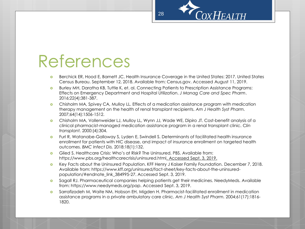# References

- Berchick ER, Hood E, Barnett JC. Health Insurance Coverage in the United States: 2017. United States Census Bureau. September 12, 2018. Available from: Census.gov. Accessed August 11, 2019.
- **o** Burley MH, Daratha KB, Tuttle K, et. al. Connecting Patients to Prescription Assistance Programs: Effects on Emergency Department and Hospital Utilization. *J Manag Care and Spec Pharm*. 2016;22(4):381-387.
- Chisholm MA, Spivey CA, Mulloy LL. Effects of a medication assistance program with medication therapy management on the health of renal transplant recipients. *Am J Health Syst Pharm.*  2007;64(14):1506-1512.
- Chisholm MA, Vollenweider LJ, Mulloy LL, Wynn JJ, Wade WE, Dipiro JT. Cost-benefit analysis of a clinical pharmacist-managed medication assistance program in a renal transplant clinic. C*lin transplant.* 2000:(4):304.
- **o** Furl R, Watanabe-Galloway S, Lyden E, Swindell S. Determinants of facilitated health insurance enrollment for patients with HIC disease, and impact of insurance enrollment on targeted health outcomes. *BMC Infect Dis.* 2018:18(1):132.
- Glied S. Healthcare Crisis: Who's at Risk? The Uninsured. PBS. Available from: https://www.pbs.org/healthcarecrisis/uninsured.html. Accessed Sept. 3, 2019.
- **o** Key Facts about the Uninsured Population. KFF Henry J Kaiser Family Foundation. December 7, 2018. Available from: https://www.kff.org/uninsured/fact-sheet/key-facts-about-the-uninsuredpopulation/#endnote\_link\_384995-27. Accessed Sept. 3, 2019.
- **o** Sagall RJ. Pharmaceutical companies helping patients get their medicines. NeedyMeds. Available from: https://www.needymeds.org/pap. Accessed Sept. 3, 2019.
- Sarrafizadeh M, Waite NM, Hobson EH, Migden H. Pharmacist-facilitated enrollment in medication assistance programs in a private ambulatory care clinic. *Am J Health Syst Pharm.* 2004;61(17):1816- 1820.

28

**COXHEALTH**